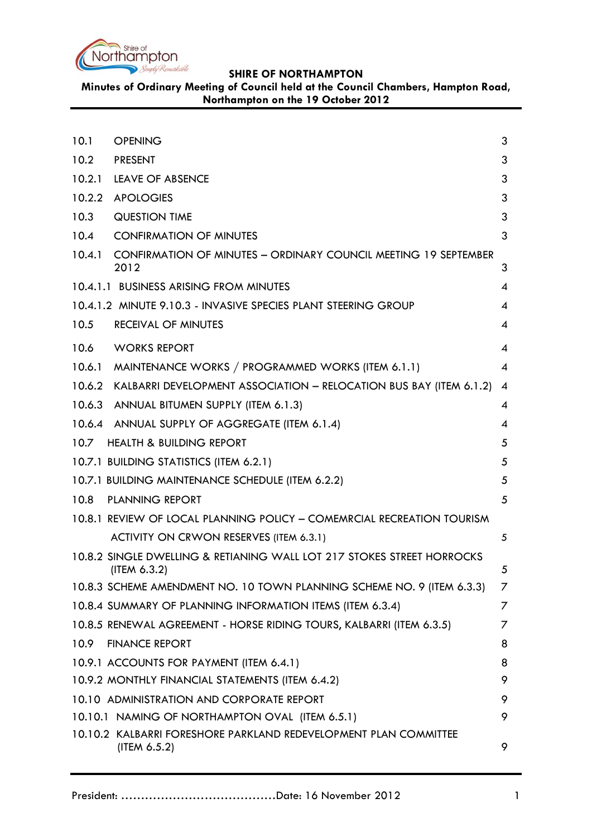

**Minutes of Ordinary Meeting of Council held at the Council Chambers, Hampton Road, Northampton on the 19 October 2012**

<span id="page-0-0"></span>

| 10.1   | <b>OPENING</b>                                                                         | 3              |
|--------|----------------------------------------------------------------------------------------|----------------|
| 10.2   | <b>PRESENT</b>                                                                         | 3              |
| 10.2.1 | <b>LEAVE OF ABSENCE</b>                                                                | 3              |
| 10.2.2 | <b>APOLOGIES</b>                                                                       | 3              |
| 10.3   | <b>QUESTION TIME</b>                                                                   | 3              |
| 10.4   | <b>CONFIRMATION OF MINUTES</b>                                                         | 3              |
| 10.4.1 | <b>CONFIRMATION OF MINUTES - ORDINARY COUNCIL MEETING 19 SEPTEMBER</b><br>2012         | 3              |
|        | 10.4.1.1 BUSINESS ARISING FROM MINUTES                                                 | 4              |
|        | 10.4.1.2 MINUTE 9.10.3 - INVASIVE SPECIES PLANT STEERING GROUP                         | 4              |
| 10.5   | <b>RECEIVAL OF MINUTES</b>                                                             | 4              |
| 10.6   | <b>WORKS REPORT</b>                                                                    | 4              |
| 10.6.1 | MAINTENANCE WORKS / PROGRAMMED WORKS (ITEM 6.1.1)                                      | $\overline{4}$ |
|        | 10.6.2 KALBARRI DEVELOPMENT ASSOCIATION - RELOCATION BUS BAY (ITEM 6.1.2)              | $\overline{4}$ |
|        | 10.6.3 ANNUAL BITUMEN SUPPLY (ITEM 6.1.3)                                              | 4              |
|        | 10.6.4 ANNUAL SUPPLY OF AGGREGATE (ITEM 6.1.4)                                         | 4              |
|        | 10.7 HEALTH & BUILDING REPORT                                                          | 5              |
|        | 10.7.1 BUILDING STATISTICS (ITEM 6.2.1)                                                | 5              |
|        | 10.7.1 BUILDING MAINTENANCE SCHEDULE (ITEM 6.2.2)                                      | 5              |
| 10.8   | <b>PLANNING REPORT</b>                                                                 | 5              |
|        | 10.8.1 REVIEW OF LOCAL PLANNING POLICY - COMEMRCIAL RECREATION TOURISM                 |                |
|        | ACTIVITY ON CRWON RESERVES (ITEM 6.3.1)                                                | 5              |
|        | 10.8.2 SINGLE DWELLING & RETIANING WALL LOT 217 STOKES STREET HORROCKS<br>(ITEM 6.3.2) | 5              |
|        | 10.8.3 SCHEME AMENDMENT NO. 10 TOWN PLANNING SCHEME NO. 9 (ITEM 6.3.3)                 | 7              |
|        | 10.8.4 SUMMARY OF PLANNING INFORMATION ITEMS (ITEM 6.3.4)                              | Ζ              |
|        | 10.8.5 RENEWAL AGREEMENT - HORSE RIDING TOURS, KALBARRI (ITEM 6.3.5)                   | 7              |
| 10.9   | <b>FINANCE REPORT</b>                                                                  | 8              |
|        | 10.9.1 ACCOUNTS FOR PAYMENT (ITEM 6.4.1)                                               | 8              |
|        | 10.9.2 MONTHLY FINANCIAL STATEMENTS (ITEM 6.4.2)                                       | 9              |
|        | 10.10 ADMINISTRATION AND CORPORATE REPORT                                              | 9              |
|        | 10.10.1 NAMING OF NORTHAMPTON OVAL (ITEM 6.5.1)                                        | 9              |
|        | 10.10.2 KALBARRI FORESHORE PARKLAND REDEVELOPMENT PLAN COMMITTEE<br>(ITEM 6.5.2)       | 9              |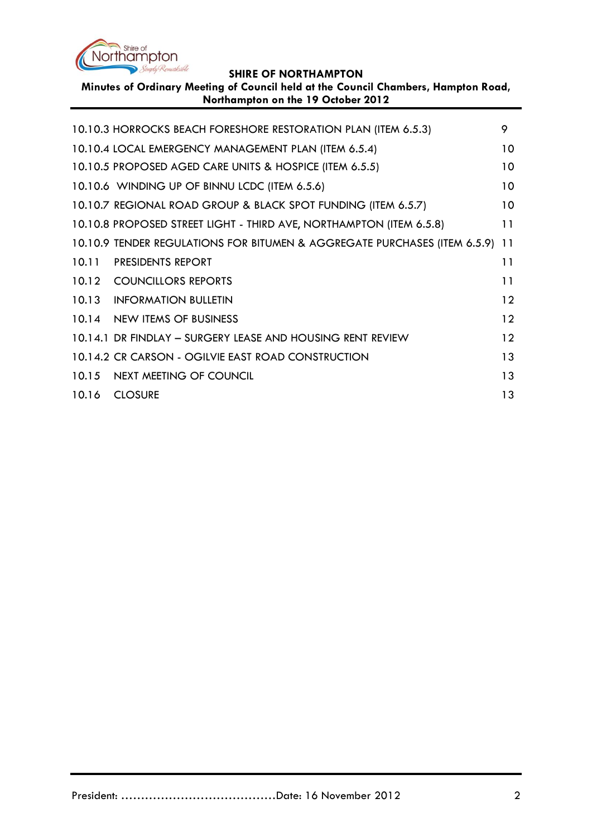

**Minutes of Ordinary Meeting of Council held at the Council Chambers, Hampton Road, Northampton on the 19 October 2012**

| 10.10.3 HORROCKS BEACH FORESHORE RESTORATION PLAN (ITEM 6.5.3)            | 9               |
|---------------------------------------------------------------------------|-----------------|
| 10.10.4 LOCAL EMERGENCY MANAGEMENT PLAN (ITEM 6.5.4)                      | 10 <sup>°</sup> |
| 10.10.5 PROPOSED AGED CARE UNITS & HOSPICE (ITEM 6.5.5)                   | 10 <sup>°</sup> |
| 10.10.6 WINDING UP OF BINNU LCDC (ITEM 6.5.6)                             | 10 <sup>°</sup> |
| 10.10.7 REGIONAL ROAD GROUP & BLACK SPOT FUNDING (ITEM 6.5.7)             | 10              |
| 10.10.8 PROPOSED STREET LIGHT - THIRD AVE, NORTHAMPTON (ITEM 6.5.8)       | 11              |
| 10.10.9 TENDER REGULATIONS FOR BITUMEN & AGGREGATE PURCHASES (ITEM 6.5.9) | 11              |
| 10.11 PRESIDENTS REPORT                                                   | 11              |
| 10.12 COUNCILLORS REPORTS                                                 | 11              |
| 10.13 INFORMATION BULLETIN                                                | 12              |
| 10.14 NEW ITEMS OF BUSINESS                                               | 12              |
| 10.14.1 DR FINDLAY - SURGERY LEASE AND HOUSING RENT REVIEW                | 12              |
| 10.14.2 CR CARSON - OGILVIE EAST ROAD CONSTRUCTION                        | 13              |
| 10.15 NEXT MEETING OF COUNCIL                                             | 13              |
| 10.16 CLOSURE                                                             | 13              |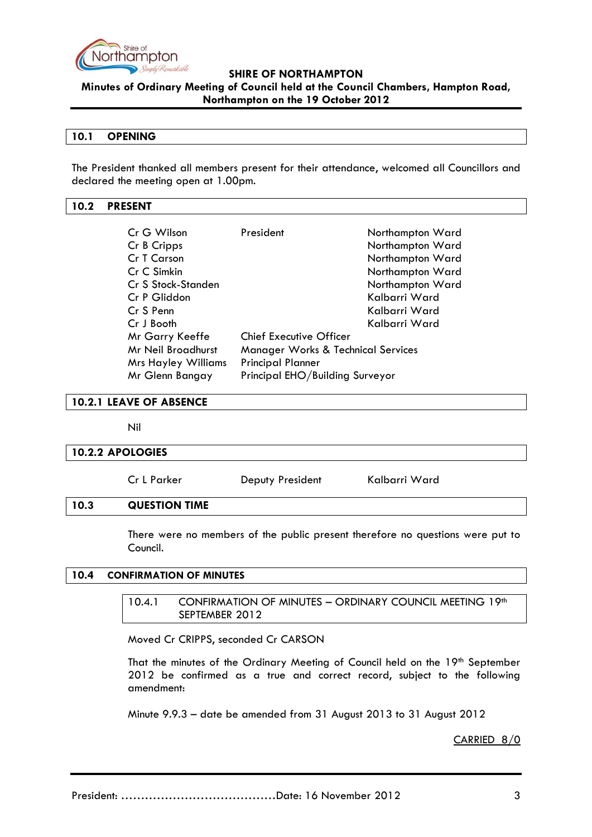

**Minutes of Ordinary Meeting of Council held at the Council Chambers, Hampton Road, Northampton on the 19 October 2012**

## **10.1 OPENING**

The President thanked all members present for their attendance, welcomed all Councillors and declared the meeting open at 1.00pm.

## <span id="page-2-0"></span>**10.2 PRESENT**

| Cr G Wilson                                                         | President                       | Northampton Ward |  |
|---------------------------------------------------------------------|---------------------------------|------------------|--|
| Cr B Cripps                                                         |                                 | Northampton Ward |  |
| Cr T Carson                                                         |                                 | Northampton Ward |  |
| Cr C Simkin                                                         |                                 | Northampton Ward |  |
| Cr S Stock-Standen                                                  |                                 | Northampton Ward |  |
| Cr P Gliddon                                                        |                                 | Kalbarri Ward    |  |
| Cr S Penn                                                           |                                 | Kalbarri Ward    |  |
| Cr J Booth                                                          |                                 | Kalbarri Ward    |  |
| Mr Garry Keeffe                                                     | <b>Chief Executive Officer</b>  |                  |  |
| Mr Neil Broadhurst<br><b>Manager Works &amp; Technical Services</b> |                                 |                  |  |
| <b>Mrs Hayley Williams</b>                                          | <b>Principal Planner</b>        |                  |  |
| Mr Glenn Bangay                                                     | Principal EHO/Building Surveyor |                  |  |

<span id="page-2-1"></span>**10.2.1 LEAVE OF ABSENCE**

Nil

## <span id="page-2-2"></span>**10.2.2 APOLOGIES**

Cr L Parker **Deputy President** Kalbarri Ward

## <span id="page-2-3"></span>**10.3 QUESTION TIME**

There were no members of the public present therefore no questions were put to Council.

## <span id="page-2-5"></span><span id="page-2-4"></span>**10.4 CONFIRMATION OF MINUTES**

10.4.1 CONFIRMATION OF MINUTES - ORDINARY COUNCIL MEETING 19th SEPTEMBER 2012

Moved Cr CRIPPS, seconded Cr CARSON

That the minutes of the Ordinary Meeting of Council held on the 19th September 2012 be confirmed as a true and correct record, subject to the following amendment:

Minute 9.9.3 – date be amended from 31 August 2013 to 31 August 2012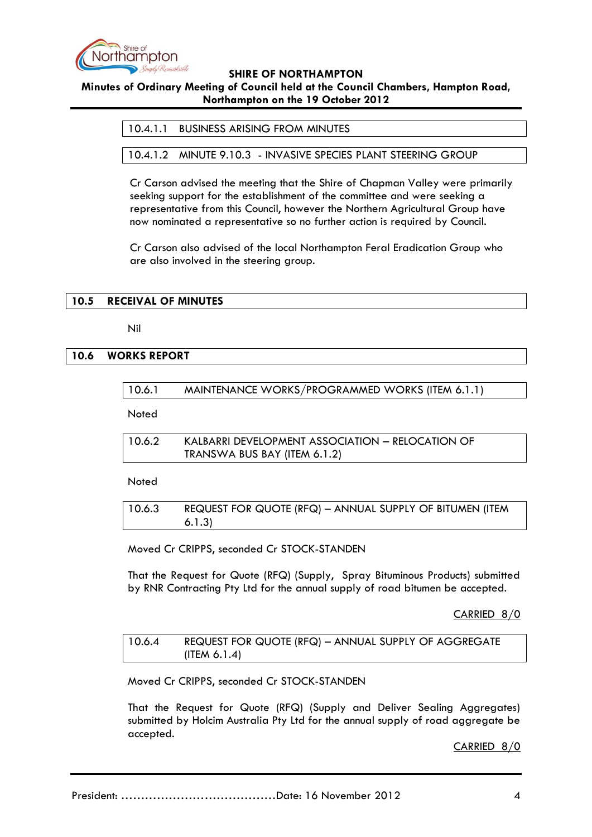

# **Minutes of Ordinary Meeting of Council held at the Council Chambers, Hampton Road, Northampton on the 19 October 2012**

10.4.1.1 BUSINESS ARISING FROM MINUTES

10.4.1.2 MINUTE 9.10.3 - INVASIVE SPECIES PLANT STEERING GROUP

Cr Carson advised the meeting that the Shire of Chapman Valley were primarily seeking support for the establishment of the committee and were seeking a representative from this Council, however the Northern Agricultural Group have now nominated a representative so no further action is required by Council.

Cr Carson also advised of the local Northampton Feral Eradication Group who are also involved in the steering group.

## **10.5 RECEIVAL OF MINUTES**

Nil

## **10.6 WORKS REPORT**

|  | 10.6.1 | MAINTENANCE WORKS/PROGRAMMED WORKS (ITEM 6.1.1) |  |  |  |
|--|--------|-------------------------------------------------|--|--|--|
|--|--------|-------------------------------------------------|--|--|--|

Noted

| 10.6.2 | KALBARRI DEVELOPMENT ASSOCIATION – RELOCATION OF |
|--------|--------------------------------------------------|
|        | TRANSWA BUS BAY (ITEM 6.1.2)                     |

Noted

| 10.6.3 | REQUEST FOR QUOTE (RFQ) - ANNUAL SUPPLY OF BITUMEN (ITEM |
|--------|----------------------------------------------------------|
|        | 6.1.3)                                                   |

Moved Cr CRIPPS, seconded Cr STOCK-STANDEN

That the Request for Quote (RFQ) (Supply, Spray Bituminous Products) submitted by RNR Contracting Pty Ltd for the annual supply of road bitumen be accepted.

CARRIED 8/0

| 10.6.4 | REQUEST FOR QUOTE (RFQ) - ANNUAL SUPPLY OF AGGREGATE |
|--------|------------------------------------------------------|
|        | (ITER 6.1.4)                                         |

Moved Cr CRIPPS, seconded Cr STOCK-STANDEN

That the Request for Quote (RFQ) (Supply and Deliver Sealing Aggregates) submitted by Holcim Australia Pty Ltd for the annual supply of road aggregate be accepted.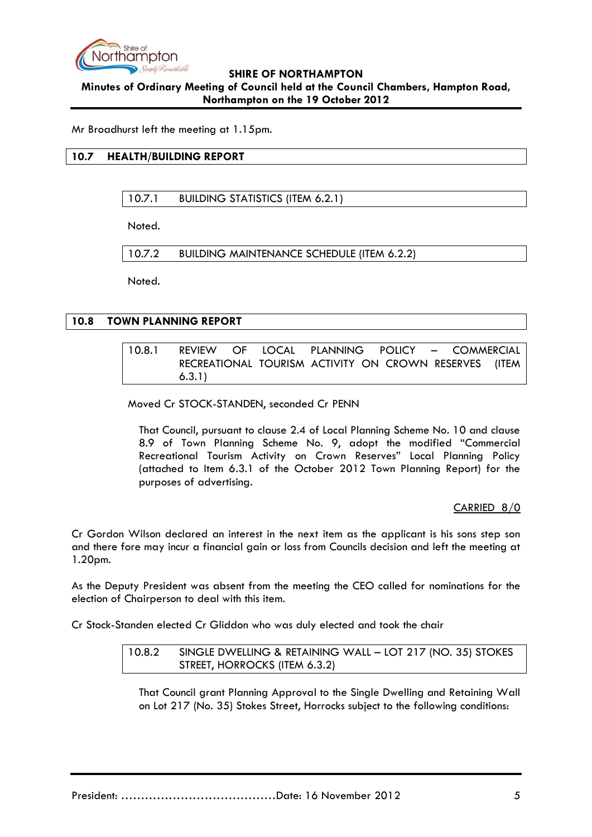

# **SHIRE OF NORTHAMPTON Minutes of Ordinary Meeting of Council held at the Council Chambers, Hampton Road, Northampton on the 19 October 2012**

Mr Broadhurst left the meeting at 1.15pm.

# **10.7 HEALTH/BUILDING REPORT**

10.7.1 BUILDING STATISTICS (ITEM 6.2.1)

Noted.

10.7.2 BUILDING MAINTENANCE SCHEDULE (ITEM 6.2.2)

Noted.

## **10.8 TOWN PLANNING REPORT**

10.8.1 REVIEW OF LOCAL PLANNING POLICY – COMMERCIAL RECREATIONAL TOURISM ACTIVITY ON CROWN RESERVES (ITEM 6.3.1)

Moved Cr STOCK-STANDEN, seconded Cr PENN

That Council, pursuant to clause 2.4 of Local Planning Scheme No. 10 and clause 8.9 of Town Planning Scheme No. 9, adopt the modified "Commercial Recreational Tourism Activity on Crown Reserves" Local Planning Policy (attached to Item 6.3.1 of the October 2012 Town Planning Report) for the purposes of advertising.

CARRIED 8/0

Cr Gordon Wilson declared an interest in the next item as the applicant is his sons step son and there fore may incur a financial gain or loss from Councils decision and left the meeting at 1.20pm.

As the Deputy President was absent from the meeting the CEO called for nominations for the election of Chairperson to deal with this item.

Cr Stock-Standen elected Cr Gliddon who was duly elected and took the chair

10.8.2 SINGLE DWELLING & RETAINING WALL – LOT 217 (NO. 35) STOKES STREET, HORROCKS (ITEM 6.3.2)

That Council grant Planning Approval to the Single Dwelling and Retaining Wall on Lot 217 (No. 35) Stokes Street, Horrocks subject to the following conditions: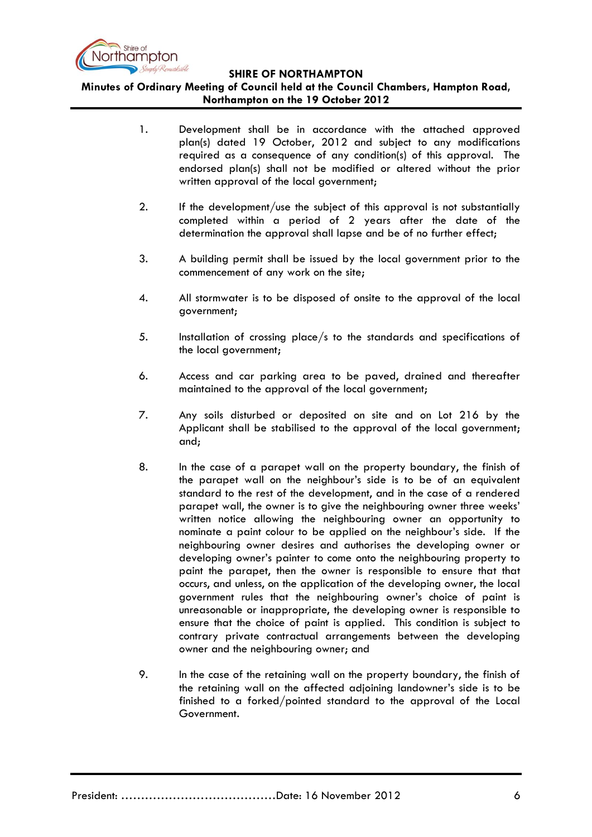

**Minutes of Ordinary Meeting of Council held at the Council Chambers, Hampton Road, Northampton on the 19 October 2012**

- 1. Development shall be in accordance with the attached approved plan(s) dated 19 October, 2012 and subject to any modifications required as a consequence of any condition(s) of this approval. The endorsed plan(s) shall not be modified or altered without the prior written approval of the local government;
- 2. If the development/use the subject of this approval is not substantially completed within a period of 2 years after the date of the determination the approval shall lapse and be of no further effect;
- 3. A building permit shall be issued by the local government prior to the commencement of any work on the site;
- 4. All stormwater is to be disposed of onsite to the approval of the local government;
- 5. Installation of crossing place/s to the standards and specifications of the local government;
- 6. Access and car parking area to be paved, drained and thereafter maintained to the approval of the local government;
- 7. Any soils disturbed or deposited on site and on Lot 216 by the Applicant shall be stabilised to the approval of the local government; and;
- 8. In the case of a parapet wall on the property boundary, the finish of the parapet wall on the neighbour's side is to be of an equivalent standard to the rest of the development, and in the case of a rendered parapet wall, the owner is to give the neighbouring owner three weeks' written notice allowing the neighbouring owner an opportunity to nominate a paint colour to be applied on the neighbour's side. If the neighbouring owner desires and authorises the developing owner or developing owner's painter to come onto the neighbouring property to paint the parapet, then the owner is responsible to ensure that that occurs, and unless, on the application of the developing owner, the local government rules that the neighbouring owner's choice of paint is unreasonable or inappropriate, the developing owner is responsible to ensure that the choice of paint is applied. This condition is subject to contrary private contractual arrangements between the developing owner and the neighbouring owner; and
- 9. In the case of the retaining wall on the property boundary, the finish of the retaining wall on the affected adjoining landowner's side is to be finished to a forked/pointed standard to the approval of the Local Government.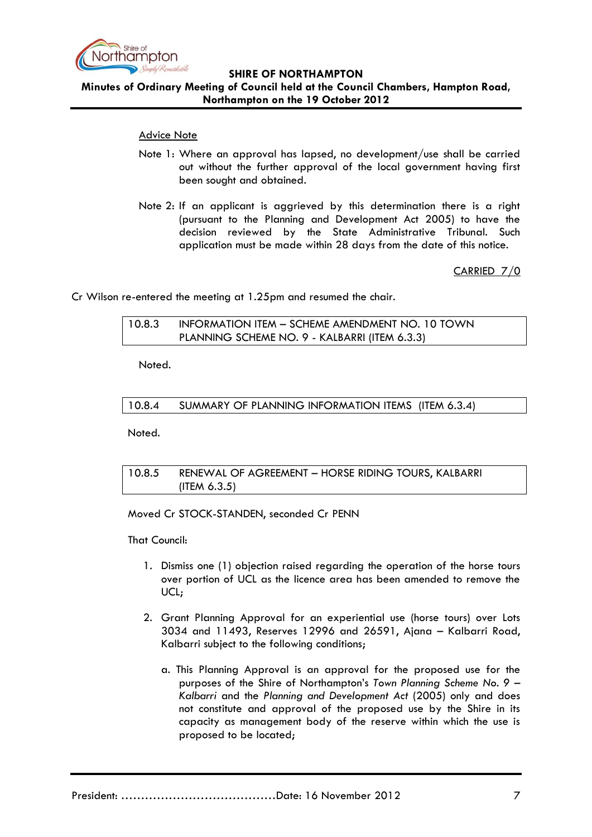

## **Minutes of Ordinary Meeting of Council held at the Council Chambers, Hampton Road, Northampton on the 19 October 2012**

## Advice Note

- Note 1: Where an approval has lapsed, no development/use shall be carried out without the further approval of the local government having first been sought and obtained.
- Note 2: If an applicant is aggrieved by this determination there is a right (pursuant to the Planning and Development Act 2005) to have the decision reviewed by the State Administrative Tribunal. Such application must be made within 28 days from the date of this notice.

CARRIED 7/0

Cr Wilson re-entered the meeting at 1.25pm and resumed the chair.

10.8.3 INFORMATION ITEM – SCHEME AMENDMENT NO. 10 TOWN PLANNING SCHEME NO. 9 - KALBARRI (ITEM 6.3.3)

Noted.

10.8.4 SUMMARY OF PLANNING INFORMATION ITEMS (ITEM 6.3.4)

Noted.

# 10.8.5 RENEWAL OF AGREEMENT – HORSE RIDING TOURS, KALBARRI (ITEM 6.3.5)

Moved Cr STOCK-STANDEN, seconded Cr PENN

That Council:

- 1. Dismiss one (1) objection raised regarding the operation of the horse tours over portion of UCL as the licence area has been amended to remove the UCL;
- 2. Grant Planning Approval for an experiential use (horse tours) over Lots 3034 and 11493, Reserves 12996 and 26591, Ajana – Kalbarri Road, Kalbarri subject to the following conditions;
	- a. This Planning Approval is an approval for the proposed use for the purposes of the Shire of Northampton's *Town Planning Scheme No. 9 – Kalbarri* and the *Planning and Development Act* (2005) only and does not constitute and approval of the proposed use by the Shire in its capacity as management body of the reserve within which the use is proposed to be located;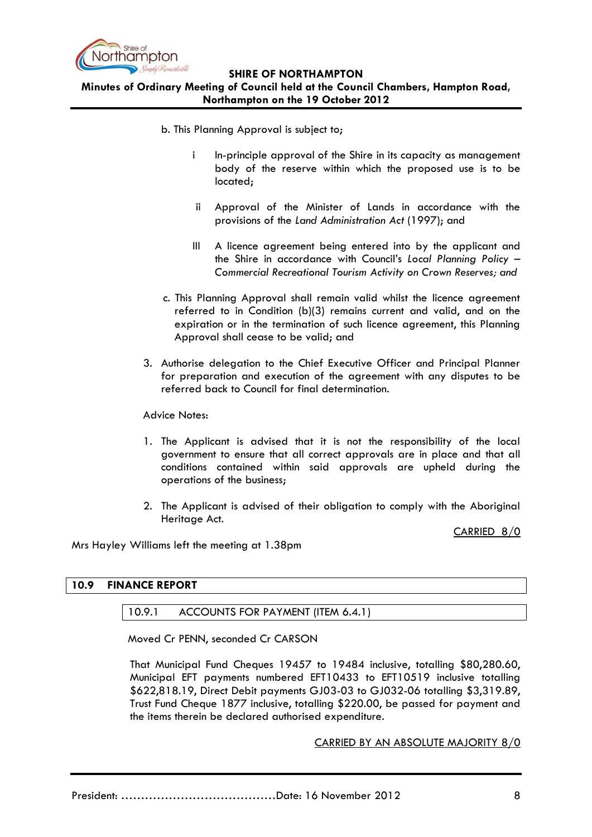

**Minutes of Ordinary Meeting of Council held at the Council Chambers, Hampton Road, Northampton on the 19 October 2012**

b. This Planning Approval is subject to;

- i In-principle approval of the Shire in its capacity as management body of the reserve within which the proposed use is to be located;
- ii Approval of the Minister of Lands in accordance with the provisions of the *Land Administration Act* (1997); and
- III A licence agreement being entered into by the applicant and the Shire in accordance with Council's *Local Planning Policy – Commercial Recreational Tourism Activity on Crown Reserves; and*
- c. This Planning Approval shall remain valid whilst the licence agreement referred to in Condition (b)(3) remains current and valid, and on the expiration or in the termination of such licence agreement, this Planning Approval shall cease to be valid; and
- 3. Authorise delegation to the Chief Executive Officer and Principal Planner for preparation and execution of the agreement with any disputes to be referred back to Council for final determination.

## Advice Notes:

- 1. The Applicant is advised that it is not the responsibility of the local government to ensure that all correct approvals are in place and that all conditions contained within said approvals are upheld during the operations of the business;
- 2. The Applicant is advised of their obligation to comply with the Aboriginal Heritage Act.

CARRIED 8/0

Mrs Hayley Williams left the meeting at 1.38pm

## **10.9 FINANCE REPORT**

# 10.9.1 ACCOUNTS FOR PAYMENT (ITEM 6.4.1)

Moved Cr PENN, seconded Cr CARSON

That Municipal Fund Cheques 19457 to 19484 inclusive, totalling \$80,280.60, Municipal EFT payments numbered EFT10433 to EFT10519 inclusive totalling \$622,818.19, Direct Debit payments GJ03-03 to GJ032-06 totalling \$3,319.89, Trust Fund Cheque 1877 inclusive, totalling \$220.00, be passed for payment and the items therein be declared authorised expenditure.

## CARRIED BY AN ABSOLUTE MAJORITY 8/0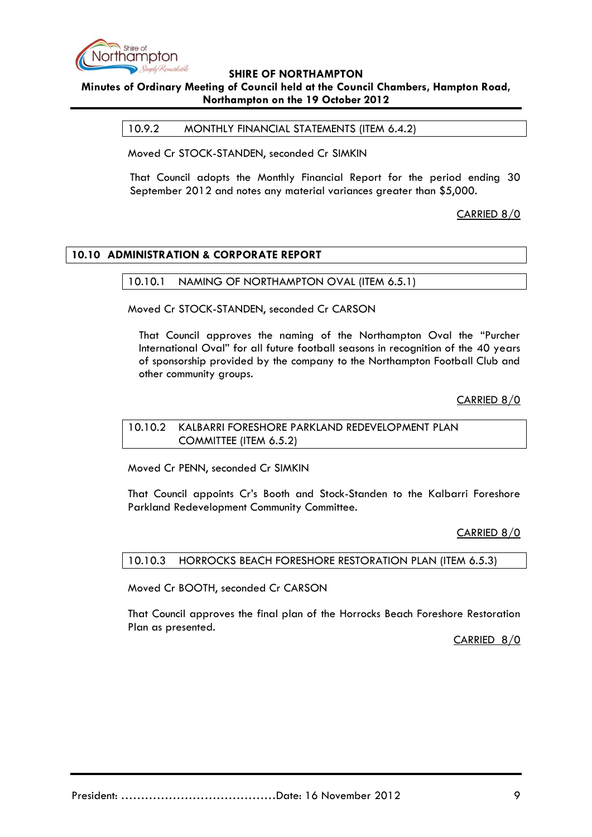

# **Minutes of Ordinary Meeting of Council held at the Council Chambers, Hampton Road, Northampton on the 19 October 2012**

10.9.2 MONTHLY FINANCIAL STATEMENTS (ITEM 6.4.2)

Moved Cr STOCK-STANDEN, seconded Cr SIMKIN

That Council adopts the Monthly Financial Report for the period ending 30 September 2012 and notes any material variances greater than \$5,000.

CARRIED 8/0

# **10.10 ADMINISTRATION & CORPORATE REPORT**

## 10.10.1 NAMING OF NORTHAMPTON OVAL (ITEM 6.5.1)

Moved Cr STOCK-STANDEN, seconded Cr CARSON

That Council approves the naming of the Northampton Oval the "Purcher International Oval" for all future football seasons in recognition of the 40 years of sponsorship provided by the company to the Northampton Football Club and other community groups.

CARRIED 8/0

10.10.2 KALBARRI FORESHORE PARKLAND REDEVELOPMENT PLAN COMMITTEE (ITEM 6.5.2)

Moved Cr PENN, seconded Cr SIMKIN

That Council appoints Cr's Booth and Stock-Standen to the Kalbarri Foreshore Parkland Redevelopment Community Committee.

CARRIED 8/0

## 10.10.3 HORROCKS BEACH FORESHORE RESTORATION PLAN (ITEM 6.5.3)

Moved Cr BOOTH, seconded Cr CARSON

That Council approves the final plan of the Horrocks Beach Foreshore Restoration Plan as presented.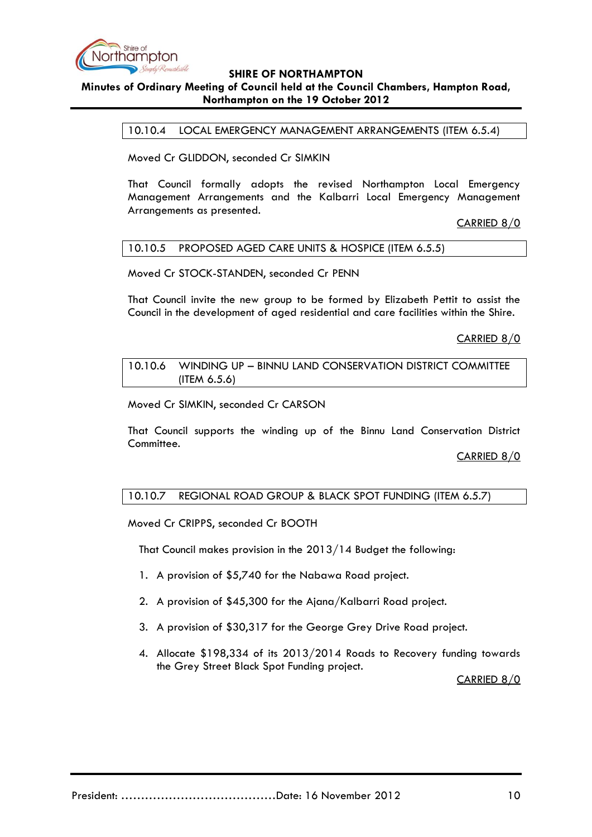

# **Minutes of Ordinary Meeting of Council held at the Council Chambers, Hampton Road, Northampton on the 19 October 2012**

10.10.4 LOCAL EMERGENCY MANAGEMENT ARRANGEMENTS (ITEM 6.5.4)

Moved Cr GLIDDON, seconded Cr SIMKIN

That Council formally adopts the revised Northampton Local Emergency Management Arrangements and the Kalbarri Local Emergency Management Arrangements as presented.

CARRIED 8/0

#### 10.10.5 PROPOSED AGED CARE UNITS & HOSPICE (ITEM 6.5.5)

Moved Cr STOCK-STANDEN, seconded Cr PENN

That Council invite the new group to be formed by Elizabeth Pettit to assist the Council in the development of aged residential and care facilities within the Shire.

CARRIED 8/0

10.10.6 WINDING UP – BINNU LAND CONSERVATION DISTRICT COMMITTEE (ITEM 6.5.6)

Moved Cr SIMKIN, seconded Cr CARSON

That Council supports the winding up of the Binnu Land Conservation District Committee.

CARRIED 8/0

# 10.10.7 REGIONAL ROAD GROUP & BLACK SPOT FUNDING (ITEM 6.5.7)

Moved Cr CRIPPS, seconded Cr BOOTH

That Council makes provision in the 2013/14 Budget the following:

- 1. A provision of \$5,740 for the Nabawa Road project.
- 2. A provision of \$45,300 for the Ajana/Kalbarri Road project.
- 3. A provision of \$30,317 for the George Grey Drive Road project.
- 4. Allocate \$198,334 of its 2013/2014 Roads to Recovery funding towards the Grey Street Black Spot Funding project.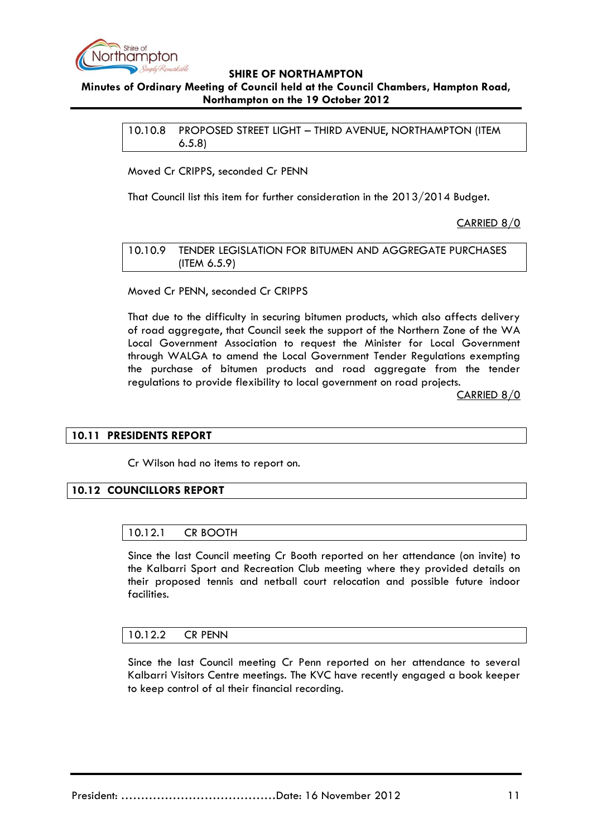

# **Minutes of Ordinary Meeting of Council held at the Council Chambers, Hampton Road, Northampton on the 19 October 2012**

10.10.8 PROPOSED STREET LIGHT – THIRD AVENUE, NORTHAMPTON (ITEM 6.5.8)

Moved Cr CRIPPS, seconded Cr PENN

That Council list this item for further consideration in the 2013/2014 Budget.

CARRIED 8/0

10.10.9 TENDER LEGISLATION FOR BITUMEN AND AGGREGATE PURCHASES (ITEM 6.5.9)

Moved Cr PENN, seconded Cr CRIPPS

That due to the difficulty in securing bitumen products, which also affects delivery of road aggregate, that Council seek the support of the Northern Zone of the WA Local Government Association to request the Minister for Local Government through WALGA to amend the Local Government Tender Regulations exempting the purchase of bitumen products and road aggregate from the tender regulations to provide flexibility to local government on road projects.

CARRIED 8/0

## **10.11 PRESIDENTS REPORT**

Cr Wilson had no items to report on.

## **10.12 COUNCILLORS REPORT**

## 10.12.1 CR BOOTH

Since the last Council meeting Cr Booth reported on her attendance (on invite) to the Kalbarri Sport and Recreation Club meeting where they provided details on their proposed tennis and netball court relocation and possible future indoor facilities.

## 10.12.2 CR PENN

Since the last Council meeting Cr Penn reported on her attendance to several Kalbarri Visitors Centre meetings. The KVC have recently engaged a book keeper to keep control of al their financial recording.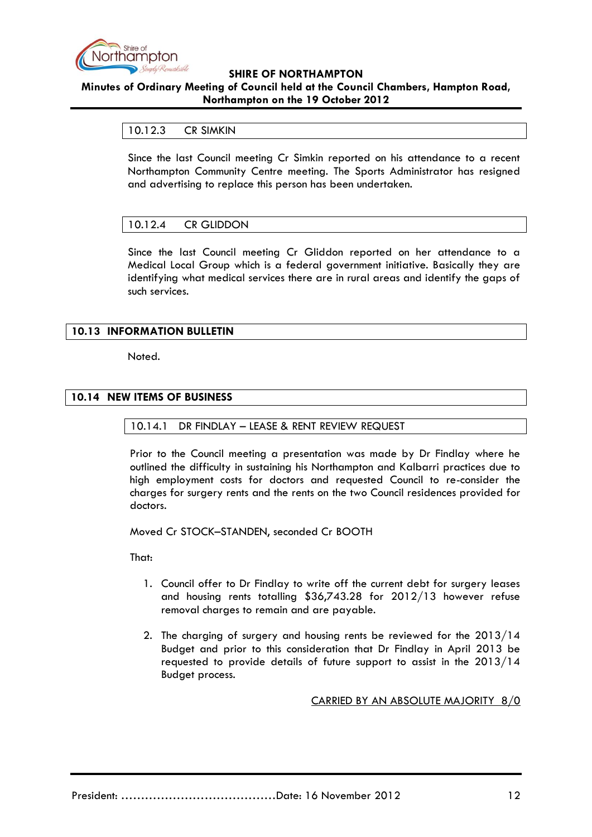

# **Minutes of Ordinary Meeting of Council held at the Council Chambers, Hampton Road, Northampton on the 19 October 2012**

## 10.12.3 CR SIMKIN

Since the last Council meeting Cr Simkin reported on his attendance to a recent Northampton Community Centre meeting. The Sports Administrator has resigned and advertising to replace this person has been undertaken.

## 10.12.4 CR GLIDDON

Since the last Council meeting Cr Gliddon reported on her attendance to a Medical Local Group which is a federal government initiative. Basically they are identifying what medical services there are in rural areas and identify the gaps of such services.

# **10.13 INFORMATION BULLETIN**

Noted.

## **10.14 NEW ITEMS OF BUSINESS**

## 10.14.1 DR FINDLAY – LEASE & RENT REVIEW REQUEST

Prior to the Council meeting a presentation was made by Dr Findlay where he outlined the difficulty in sustaining his Northampton and Kalbarri practices due to high employment costs for doctors and requested Council to re-consider the charges for surgery rents and the rents on the two Council residences provided for doctors.

Moved Cr STOCK–STANDEN, seconded Cr BOOTH

That:

- 1. Council offer to Dr Findlay to write off the current debt for surgery leases and housing rents totalling \$36,743.28 for 2012/13 however refuse removal charges to remain and are payable.
- 2. The charging of surgery and housing rents be reviewed for the 2013/14 Budget and prior to this consideration that Dr Findlay in April 2013 be requested to provide details of future support to assist in the 2013/14 Budget process.

## CARRIED BY AN ABSOLUTE MAJORITY 8/0